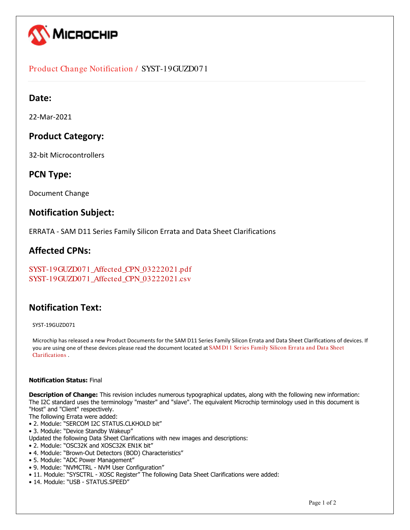

## Product Change Notification / SYST-19GUZD071

## **Date:**

22-Mar-2021

## **Product Category:**

32-bit Microcontrollers

### **PCN Type:**

Document Change

## **Notification Subject:**

ERRATA - SAM D11 Series Family Silicon Errata and Data Sheet Clarifications

## **Affected CPNs:**

```
SYST-19GUZD071_Affected_CPN_03222021.pdf
SYST-19GUZD071_Affected_CPN_03222021.csv
```
## **Notification Text:**

SYST-19GUZD071

Microchip has released a new Product Documents for the SAM D11 Series Family Silicon Errata and Data Sheet Clarifications of devices. If you are using one of these devices please read the document located at [SAM D11 Series Family Silicon Errata and Data Sheet](https://www.microchip.com/webdata/api/Document/DownloadDocumentsForFileHandlerByContentId?contentId=en611800) [Clarifications](https://www.microchip.com/webdata/api/Document/DownloadDocumentsForFileHandlerByContentId?contentId=en611800) .

#### **Notification Status:** Final

**Description of Change:** This revision includes numerous typographical updates, along with the following new information: The I2C standard uses the terminology "master" and "slave". The equivalent Microchip terminology used in this document is "Host" and "Client" respectively.

- The following Errata were added:
- 2. Module: "SERCOM I2C STATUS.CLKHOLD bit"
- 3. Module: "Device Standby Wakeup"
- Updated the following Data Sheet Clarifications with new images and descriptions:
- 2. Module: "OSC32K and XOSC32K EN1K bit"
- 4. Module: "Brown-Out Detectors (BOD) Characteristics"
- 5. Module: "ADC Power Management"
- 9. Module: "NVMCTRL NVM User Configuration"
- 11. Module: "SYSCTRL XOSC Register" The following Data Sheet Clarifications were added:
- 14. Module: "USB STATUS.SPEED"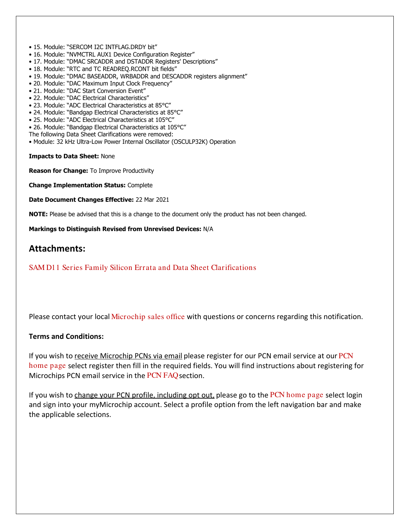- 15. Module: "SERCOM I2C INTFLAG.DRDY bit"
- 16. Module: "NVMCTRL AUX1 Device Configuration Register"
- 17. Module: "DMAC SRCADDR and DSTADDR Registers' Descriptions"
- 18. Module: "RTC and TC READREQ.RCONT bit fields"
- 19. Module: "DMAC BASEADDR, WRBADDR and DESCADDR registers alignment"
- 20. Module: "DAC Maximum Input Clock Frequency"
- 21. Module: "DAC Start Conversion Event"
- 22. Module: "DAC Electrical Characteristics"
- 23. Module: "ADC Electrical Characteristics at 85°C"
- 24. Module: "Bandgap Electrical Characteristics at 85°C"
- 25. Module: "ADC Electrical Characteristics at 105°C"
- 26. Module: "Bandgap Electrical Characteristics at 105°C"
- The following Data Sheet Clarifications were removed:
- Module: 32 kHz Ultra-Low Power Internal Oscillator (OSCULP32K) Operation

**Impacts to Data Sheet:** None

**Reason for Change:** To Improve Productivity

**Change Implementation Status:** Complete

**Date Document Changes Effective:** 22 Mar 2021

**NOTE:** Please be advised that this is a change to the document only the product has not been changed.

**Markings to Distinguish Revised from Unrevised Devices:** N/A

### **Attachments:**

[SAM D11 Series Family Silicon Errata and Data Sheet Clarifications](https://www.microchip.com/webdata/api/Document/DownloadDocumentsForFileHandlerByContentId?contentId=en611800) 

Please contact your local [Microchip sales office](http://www.microchip.com/distributors/SalesHome.aspx) with questions or concerns regarding this notification.

#### **Terms and Conditions:**

If you wish to receive Microchip PCNs via email please register for our [PCN](http://www.microchip.com/pcn) email service at our PCN [home page](http://www.microchip.com/pcn) select register then fill in the required fields. You will find instructions about registering for Microchips PCN email service in the [PCN FAQ](http://www.microchip.com/pcn/faqs) section.

If you wish to change your PCN profile, including opt out, please go to the [PCN home page](http://www.microchip.com/pcn) select login and sign into your myMicrochip account. Select a profile option from the left navigation bar and make the applicable selections.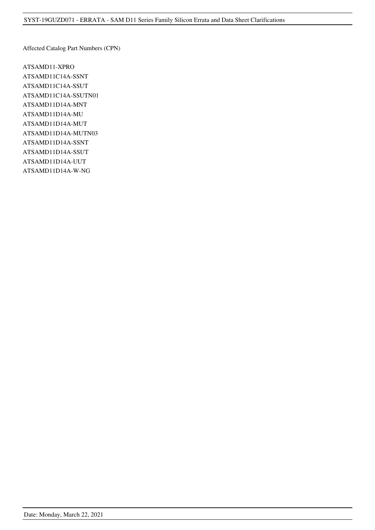Affected Catalog Part Numbers (CPN)

ATSAMD11-XPRO ATSAMD11C14A-SSNT ATSAMD11C14A-SSUT ATSAMD11C14A-SSUTN01 ATSAMD11D14A-MNT ATSAMD11D14A-MU ATSAMD11D14A-MUT ATSAMD11D14A-MUTN03 ATSAMD11D14A-SSNT ATSAMD11D14A-SSUT ATSAMD11D14A-UUT ATSAMD11D14A-W-NG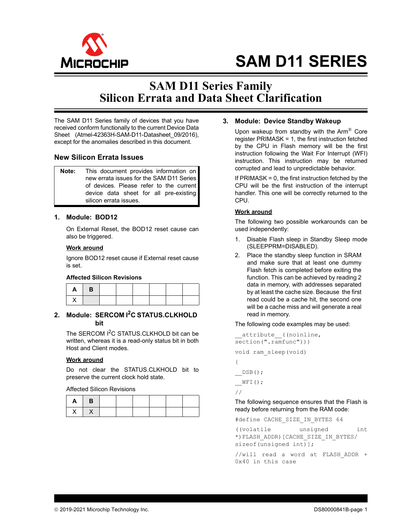

# **SAM D11 SERIES**

## **SAM D11 Series Family Silicon Errata and Data Sheet Clarification**

The SAM D11 Series family of devices that you have received conform functionally to the current Device Data Sheet (Atmel-42363H-SAM-D11-Datasheet\_09/2016), except for the anomalies described in this document.

#### **New Silicon Errata Issues**

**Note:** This document provides information on new errata issues for the SAM D11 Series of devices. Please refer to the current device data sheet for all pre-existing silicon errata issues.

#### **1. Module: BOD12**

On External Reset, the BOD12 reset cause can also be triggered.

#### **Work around**

Ignore BOD12 reset cause if External reset cause is set.

#### **Affected Silicon Revisions**

| $A \parallel B$ |  |  |  |  |
|-----------------|--|--|--|--|
|                 |  |  |  |  |

#### <span id="page-3-0"></span>**2. Module: SERCOM I2C STATUS.CLKHOLD bit**

The SERCOM I<sup>2</sup>C STATUS.CLKHOLD bit can be written, whereas it is a read-only status bit in both Host and Client modes.

#### **Work around**

Do not clear the STATUS.CLKHOLD bit to preserve the current clock hold state.

Affected Silicon Revisions

| $\mathbf{I}$<br>$A \mid B$ |  |  |  |  |
|----------------------------|--|--|--|--|
| $x \mid x$                 |  |  |  |  |

#### <span id="page-3-1"></span>**3. Module: Device Standby Wakeup**

Upon wakeup from standby with the  $Arm^{\circledR}$  Core register PRIMASK = 1, the first instruction fetched by the CPU in Flash memory will be the first instruction following the Wait For Interrupt (WFI) instruction. This instruction may be returned corrupted and lead to unpredictable behavior.

If PRIMASK = 0, the first instruction fetched by the CPU will be the first instruction of the interrupt handler. This one will be correctly returned to the CPU.

#### **Work around**

The following two possible workarounds can be used independently:

- 1. Disable Flash sleep in Standby Sleep mode (SLEEPPRM=DISABLED).
- 2. Place the standby sleep function in SRAM and make sure that at least one dummy Flash fetch is completed before exiting the function. This can be achieved by reading 2 data in memory, with addresses separated by at least the cache size. Because the first read could be a cache hit, the second one will be a cache miss and will generate a real read in memory.

The following code examples may be used:

```
_attribute_((noinline,
section(".ramfunc")))
void ram_sleep(void)
{
```
\_\_DSB();  $\sqrt{WFL}()$  ; //

The following sequence ensures that the Flash is ready before returning from the RAM code:

#define CACHE\_SIZE\_IN\_BYTES 64

```
((volatile unsigned int
*)FLASH_ADDR)[CACHE_SIZE_IN_BYTES/
sizeof(unsigned int)];
```
//will read a word at FLASH\_ADDR + 0x40 in this case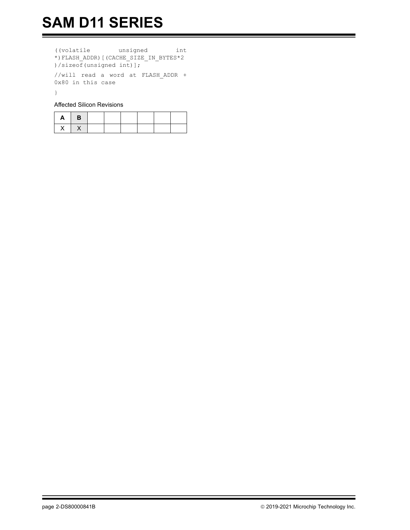((volatile unsigned int \*)FLASH\_ADDR)[(CACHE\_SIZE\_IN\_BYTES\*2 )/sizeof(unsigned int)];

//will read a word at FLASH\_ADDR + 0x80 in this case

}

Affected Silicon Revisions

| $\mathsf{A}$<br>- 17 | $\overline{B}$ |  |  |  |
|----------------------|----------------|--|--|--|
| X                    | $\lambda$      |  |  |  |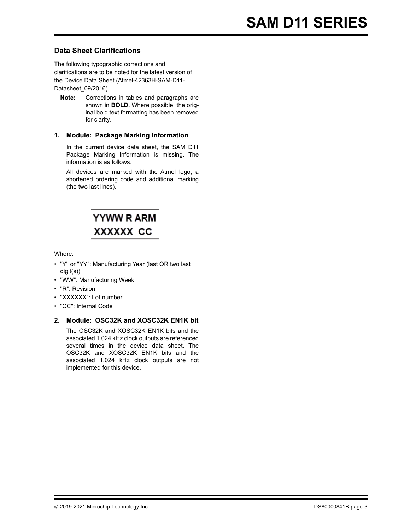#### **Data Sheet Clarifications**

The following typographic corrections and clarifications are to be noted for the latest version of the Device Data Sheet (Atmel-42363H-SAM-D11- Datasheet\_09/2016).

**Note:** Corrections in tables and paragraphs are shown in **BOLD.** Where possible, the original bold text formatting has been removed for clarity.

#### **1. Module: Package Marking Information**

In the current device data sheet, the SAM D11 Package Marking Information is missing. The information is as follows:

All devices are marked with the Atmel logo, a shortened ordering code and additional marking (the two last lines).



#### Where:

- "Y" or "YY": Manufacturing Year (last OR two last digit(s))
- "WW": Manufacturing Week
- "R": Revision
- "XXXXXX": Lot number
- "CC": Internal Code

#### <span id="page-5-0"></span>**2. Module: OSC32K and XOSC32K EN1K bit**

The OSC32K and XOSC32K EN1K bits and the associated 1.024 kHz clock outputs are referenced several times in the device data sheet. The OSC32K and XOSC32K EN1K bits and the associated 1.024 kHz clock outputs are not implemented for this device.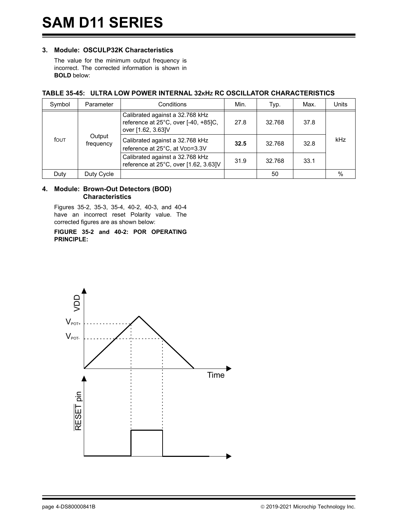#### **3. Module: OSCULP32K Characteristics**

The value for the minimum output frequency is incorrect. The corrected information is shown in **BOLD** below:

#### **TABLE 35-45: ULTRA LOW POWER INTERNAL 32KHZ RC OSCILLATOR CHARACTERISTICS**

| Symbol | Parameter           | Conditions                                                                                    | Min.                   | Typ.   | Max. | Units |
|--------|---------------------|-----------------------------------------------------------------------------------------------|------------------------|--------|------|-------|
|        | Output<br>frequency | Calibrated against a 32.768 kHz<br>reference at 25°C, over [-40, +85]C,<br>over [1.62, 3.63]V | 27.8                   | 32.768 | 37.8 |       |
| fout   |                     | Calibrated against a 32.768 kHz<br>reference at 25°C, at VDD=3.3V                             | 32.5                   | 32.768 | 32.8 | kHz   |
|        |                     | Calibrated against a 32.768 kHz<br>reference at 25°C, over [1.62, 3.63]V                      | 31.9<br>32.768<br>33.1 |        |      |       |
| Duty   | Duty Cycle          |                                                                                               |                        | 50     |      | $\%$  |

#### <span id="page-6-0"></span>**4. Module: Brown-Out Detectors (BOD) Characteristics**

Figures 35-2, 35-3, 35-4, 40-2, 40-3, and 40-4 have an incorrect reset Polarity value. The corrected figures are as shown below:

**FIGURE 35-2 and 40-2: POR OPERATING PRINCIPLE:**

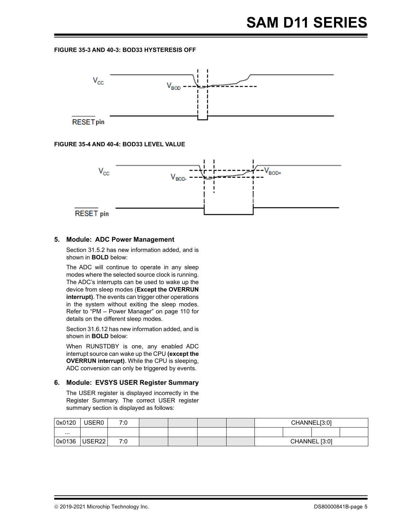#### **FIGURE 35-3 AND 40-3: BOD33 HYSTERESIS OFF**



#### **FIGURE 35-4 AND 40-4: BOD33 LEVEL VALUE**



#### <span id="page-7-0"></span>**5. Module: ADC Power Management**

Section 31.5.2 has new information added, and is shown in **BOLD** below:

The ADC will continue to operate in any sleep modes where the selected source clock is running. The ADC's interrupts can be used to wake up the device from sleep modes (**Except the OVERRUN interrupt)**. The events can trigger other operations in the system without exiting the sleep modes. Refer to "PM – Power Manager" on page 110 for details on the different sleep modes.

Section 31.6.12 has new information added, and is shown in **BOLD** below:

When RUNSTDBY is one, any enabled ADC interrupt source can wake up the CPU **(except the OVERRUN interrupt)**. While the CPU is sleeping, ADC conversion can only be triggered by events.

#### **6. Module: EVSYS USER Register Summary**

The USER register is displayed incorrectly in the Register Summary. The correct USER register summary section is displayed as follows:

| 0x0120   | USER0              | 7:0 |  |  | CHANNEL[3:0]  |  |  |  |
|----------|--------------------|-----|--|--|---------------|--|--|--|
| $\cdots$ |                    |     |  |  |               |  |  |  |
| 0x0136   | USER <sub>22</sub> | 7:0 |  |  | CHANNEL [3:0] |  |  |  |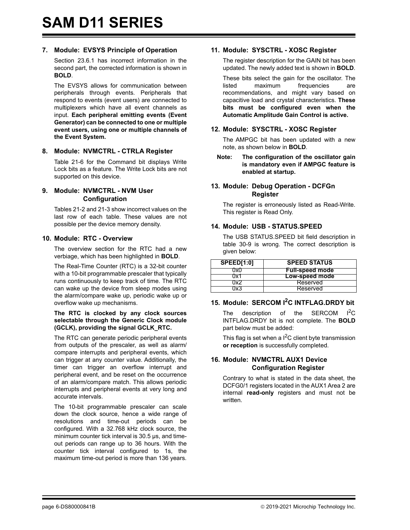#### **7. Module: EVSYS Principle of Operation**

Section 23.6.1 has incorrect information in the second part, the corrected information is shown in **BOLD**.

The EVSYS allows for communication between peripherals through events. Peripherals that respond to events (event users) are connected to multiplexers which have all event channels as input. **Each peripheral emitting events (Event Generator) can be connected to one or multiple event users, using one or multiple channels of the Event System.**

#### **8. Module: NVMCTRL - CTRLA Register**

Table 21-6 for the Command bit displays Write Lock bits as a feature. The Write Lock bits are not supported on this device.

#### <span id="page-8-3"></span>**9. Module: NVMCTRL - NVM User Configuration**

Tables 21-2 and 21-3 show incorrect values on the last row of each table. These values are not possible per the device memory density.

#### **10. Module: RTC - Overview**

The overview section for the RTC had a new verbiage, which has been highlighted in **BOLD**.

The Real-Time Counter (RTC) is a 32-bit counter with a 10-bit programmable prescaler that typically runs continuously to keep track of time. The RTC can wake up the device from sleep modes using the alarm/compare wake up, periodic wake up or overflow wake up mechanisms.

#### **The RTC is clocked by any clock sources selectable through the Generic Clock module (GCLK), providing the signal GCLK\_RTC.**

The RTC can generate periodic peripheral events from outputs of the prescaler, as well as alarm/ compare interrupts and peripheral events, which can trigger at any counter value. Additionally, the timer can trigger an overflow interrupt and peripheral event, and be reset on the occurrence of an alarm/compare match. This allows periodic interrupts and peripheral events at very long and accurate intervals.

The 10-bit programmable prescaler can scale down the clock source, hence a wide range of resolutions and time-out periods can be configured. With a 32.768 kHz clock source, the minimum counter tick interval is 30.5 μs, and timeout periods can range up to 36 hours. With the counter tick interval configured to 1s, the maximum time-out period is more than 136 years.

#### <span id="page-8-4"></span>**11. Module: SYSCTRL - XOSC Register**

The register description for the GAIN bit has been updated. The newly added text is shown in **BOLD**.

These bits select the gain for the oscillator. The listed maximum frequencies are recommendations, and might vary based on capacitive load and crystal characteristics. **These bits must be configured even when the Automatic Amplitude Gain Control is active.**

#### **12. Module: SYSCTRL - XOSC Register**

The AMPGC bit has been updated with a new note, as shown below in **BOLD**.

**Note: The configuration of the oscillator gain is mandatory even if AMPGC feature is enabled at startup.**

#### **13. Module: Debug Operation - DCFGn Register**

The register is erroneously listed as Read-Write. This register is Read Only.

#### <span id="page-8-0"></span>**14. Module: USB - STATUS.SPEED**

The USB STATUS.SPEED bit field description in table 30-9 is wrong. The correct description is given below:

| <b>SPEED[1:0]</b> | <b>SPEED STATUS</b>    |
|-------------------|------------------------|
| ')x()             | <b>Full-speed mode</b> |
| ו צוי             | <b>Low-speed mode</b>  |
| שו                | Reserved               |
| TVR.              | Reserved               |

#### <span id="page-8-1"></span>**15. Module: SERCOM I2C INTFLAG.DRDY bit**

The description of the SERCOM  $I<sup>2</sup>C$ INTFLAG.DRDY bit is not complete. The **BOLD** part below must be added:

This flag is set when a  $I^2C$  client byte transmission **or reception** is successfully completed.

#### <span id="page-8-2"></span>**16. Module: NVMCTRL AUX1 Device Configuration Register**

Contrary to what is stated in the data sheet, the DCFG0/1 registers located in the AUX1 Area 2 are internal **read-only** registers and must not be written.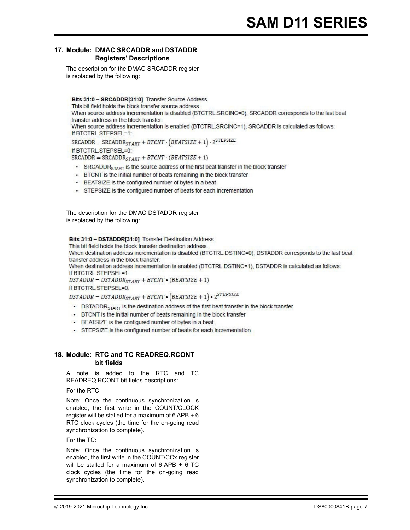#### <span id="page-9-0"></span>**17. Module: DMAC SRCADDR and DSTADDR Registers' Descriptions**

The description for the DMAC SRCADDR register is replaced by the following:

Bits 31:0 - SRCADDR[31:0] Transfer Source Address

This bit field holds the block transfer source address.

When source address incrementation is disabled (BTCTRL.SRCINC=0), SRCADDR corresponds to the last beat transfer address in the block transfer.

When source address incrementation is enabled (BTCTRL.SRCINC=1), SRCADDR is calculated as follows: If BTCTRL STEPSEL=1:

 $\texttt{SRCADDR} = \texttt{SRCADDR}_{\texttt{START}} + \texttt{BTCNT} \cdot \left(\texttt{BEATSIZE} + 1\right) \cdot 2^{\texttt{STEPSIZE}}$ If BTCTRL.STEPSEL=0:  $SRCADDR = SRCADDR<sub>START</sub> + BTCNT \cdot (BEATSIZE + 1)$ 

- SRCADDR<sub>START</sub> is the source address of the first beat transfer in the block transfer
- BTCNT is the initial number of beats remaining in the block transfer
- BEATSIZE is the configured number of bytes in a beat
- · STEPSIZE is the configured number of beats for each incrementation

The description for the DMAC DSTADDR register is replaced by the following:

#### Bits 31:0 - DSTADDR[31:0] Transfer Destination Address

This bit field holds the block transfer destination address.

When destination address incrementation is disabled (BTCTRL,DSTINC=0), DSTADDR corresponds to the last beat transfer address in the block transfer.

When destination address incrementation is enabled (BTCTRL.DSTINC=1), DSTADDR is calculated as follows: If BTCTRL.STEPSEL=1:

 $DSTADDR = DSTADDR_{STAT} + BTCNT \bullet (BEATSIZE + 1)$ 

If BTCTRL.STEPSEL=0:

 $DSTADDR = DSTADDR_{START} + BTCNT \cdot (BEATSIZE + 1) \cdot 2^{STEPSIZE}$ 

- DSTADDR<sub>START</sub> is the destination address of the first beat transfer in the block transfer
- BTCNT is the initial number of beats remaining in the block transfer
- BEATSIZE is the configured number of bytes in a beat
- · STEPSIZE is the configured number of beats for each incrementation

#### <span id="page-9-1"></span>**18. Module: RTC and TC READREQ.RCONT bit fields**

A note is added to the RTC and TC READREQ.RCONT bit fields descriptions:

For the RTC:

Note: Once the continuous synchronization is enabled, the first write in the COUNT/CLOCK register will be stalled for a maximum of 6 APB + 6 RTC clock cycles (the time for the on-going read synchronization to complete).

#### For the TC:

Note: Once the continuous synchronization is enabled, the first write in the COUNT/CCx register will be stalled for a maximum of 6 APB + 6 TC clock cycles (the time for the on-going read synchronization to complete).

 <sup>2019-2021</sup> Microchip Technology Inc. DS80000841B-page 7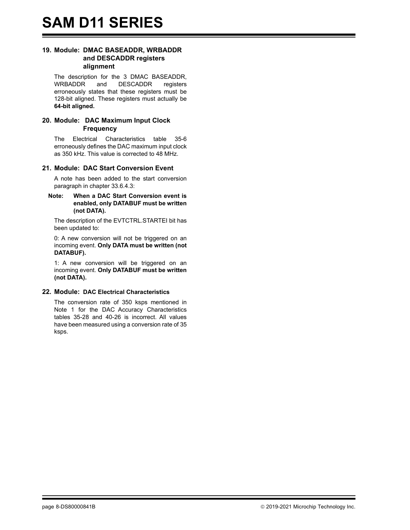#### <span id="page-10-1"></span>**19. Module: DMAC BASEADDR, WRBADDR and DESCADDR registers alignment**

The description for the 3 DMAC BASEADDR, WRBADDR and DESCADDR registers erroneously states that these registers must be 128-bit aligned. These registers must actually be **64-bit aligned.**

#### <span id="page-10-2"></span>**20. Module: DAC Maximum Input Clock Frequency**

The Electrical Characteristics table 35-6 erroneously defines the DAC maximum input clock as 350 kHz. This value is corrected to 48 MHz.

#### <span id="page-10-3"></span>**21. Module: DAC Start Conversion Event**

A note has been added to the start conversion paragraph in chapter 33.6.4.3:

#### **Note: When a DAC Start Conversion event is enabled, only DATABUF must be written (not DATA).**

The description of the EVTCTRL.STARTEI bit has been updated to:

0: A new conversion will not be triggered on an incoming event. **Only DATA must be written (not DATABUF).**

1: A new conversion will be triggered on an incoming event. **Only DATABUF must be written (not DATA).**

#### <span id="page-10-0"></span>**22. Module: DAC Electrical Characteristics**

The conversion rate of 350 ksps mentioned in Note 1 for the DAC Accuracy Characteristics tables 35-28 and 40-26 is incorrect. All values have been measured using a conversion rate of 35 ksps.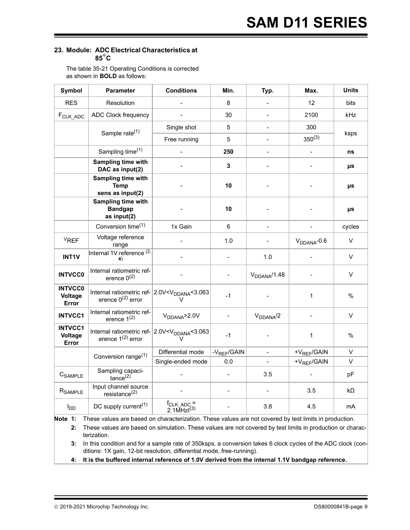#### <span id="page-11-0"></span>**23. Module: ADC Electrical Characteristics at 85**°**C**

The table 35-21 Operating Conditions is corrected as shown in **BOLD** as follows:

| <b>Symbol</b>                      | <b>Parameter</b>                                                                                   | <b>Conditions</b>             | Min.                     | Typ.                     | Max.                     | <b>Units</b> |
|------------------------------------|----------------------------------------------------------------------------------------------------|-------------------------------|--------------------------|--------------------------|--------------------------|--------------|
| <b>RES</b>                         | Resolution                                                                                         |                               | 8                        |                          | 12 <sup>°</sup>          | bits         |
| F <sub>CLK_ADC</sub>               | <b>ADC Clock frequency</b>                                                                         |                               | 30                       |                          | 2100                     | kHz          |
|                                    |                                                                                                    | Single shot                   | 5                        |                          | 300                      |              |
|                                    | Sample rate <sup>(1)</sup>                                                                         | Free running                  | 5                        | $\blacksquare$           | $350^{(3)}$              | ksps         |
|                                    | Sampling time <sup>(1)</sup>                                                                       |                               | 250                      |                          |                          | ns           |
|                                    | Sampling time with<br>DAC as input(2)                                                              |                               | 3                        |                          | $\overline{\phantom{a}}$ | μs           |
|                                    | Sampling time with<br><b>Temp</b><br>sens as input(2)                                              |                               | 10                       |                          |                          | μs           |
|                                    | Sampling time with<br><b>Bandgap</b><br>as input(2)                                                |                               | 10                       |                          |                          | μs           |
|                                    | Conversion time <sup>(1)</sup>                                                                     | 1x Gain                       | 6                        | $\overline{\phantom{a}}$ | $\overline{\phantom{0}}$ | cycles       |
| $V_{REF}$                          | Voltage reference<br>range                                                                         |                               | 1.0                      |                          | $V_{DDANA}$ -0.6         | V            |
| <b>INT1V</b>                       | Internal 1V reference <sup>(2,</sup>                                                               |                               | $\blacksquare$           | 1.0                      |                          | V            |
| <b>INTVCC0</b>                     | Internal ratiometric ref-<br>erence $0^{(2)}$                                                      |                               |                          | V <sub>DDANA</sub> /1.48 |                          | V            |
| <b>INTVCC0</b><br>Voltage<br>Error | Internal ratiometric ref- 2.0V <v<sub>DDANA&lt;3.063<br/>erence <math>0^{(2)}</math> error</v<sub> |                               | $-1$                     |                          | $\mathbf{1}$             | $\%$         |
| <b>INTVCC1</b>                     | Internal ratiometric ref-<br>erence $1^{(2)}$                                                      | $V_{DDANA}$ >2.0V             | $\overline{\phantom{a}}$ | $V_{DDANA}/2$            | $\overline{\phantom{a}}$ | V            |
| <b>INTVCC1</b><br>Voltage<br>Error | Internal ratiometric ref- 2.0V <v<sub>DDANA&lt;3.063<br/>erence <math>1^{(2)}</math> error</v<sub> |                               | $-1$                     |                          | $\mathbf{1}$             | %            |
|                                    | Conversion range <sup>(1)</sup>                                                                    | Differential mode             | -V <sub>REF</sub> /GAIN  | $\blacksquare$           | +V <sub>REF</sub> /GAIN  | V            |
|                                    |                                                                                                    | Single-ended mode             | 0.0                      |                          | +V <sub>REF</sub> /GAIN  | V            |
| C <sub>SAMPLE</sub>                | Sampling capaci-<br>$t$ ance $(2)$                                                                 |                               | $\blacksquare$           | 3.5                      |                          | pF           |
| R <sub>SAMPLE</sub>                | Input channel source<br>resistance <sup>(2)</sup>                                                  |                               |                          |                          | 3.5                      | kΩ           |
| $I_{DD}$                           | DC supply current <sup>(1)</sup>                                                                   | $f_{CLK_ADC} =$<br>2.1MHzI(3) |                          | 3.8                      | 4.5                      | mA           |

**Note 1:** These values are based on characterization. These values are not covered by test limits in production.

**2:** These values are based on simulation. These values are not covered by test limits in production or characterization.

**3:** In this condition and for a sample rate of 350ksps, a conversion takes 6 clock cycles of the ADC clock (conditions: 1X gain, 12-bit resolution, differential mode, free-running).

**4: It is the buffered internal reference of 1.0V derived from the internal 1.1V bandgap reference.**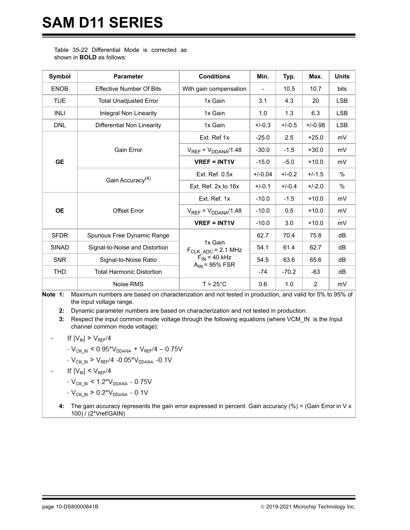# **SAM D11 SERIES**

Table 35-22 Differential Mode is corrected as shown in **BOLD** as follows:

| Symbol       | <b>Parameter</b>                 | <b>Conditions</b>                                  | Min.      | Typ.     | Max.           | <b>Units</b>  |
|--------------|----------------------------------|----------------------------------------------------|-----------|----------|----------------|---------------|
| <b>ENOB</b>  | <b>Effective Number Of Bits</b>  | With gain compensation                             |           | 10.5     | 10.7           | bits          |
| <b>TUE</b>   | <b>Total Unadjusted Error</b>    | 1x Gain                                            | 3.1       | 4.3      | 20             | <b>LSB</b>    |
| <b>INLI</b>  | Integral Non Linearity           | 1x Gain                                            | 1.0       | 1.3      | 6.3            | <b>LSB</b>    |
| <b>DNL</b>   | Differential Non Linearity       | 1x Gain                                            | $+/-0.3$  | $+/-0.5$ | $+/-0.98$      | <b>LSB</b>    |
|              |                                  | Ext. Ref 1x                                        | $-25.0$   | 2.5      | $+25.0$        | mV            |
|              | <b>Gain Error</b>                | $V_{REF} = V_{DDANA}/1.48$                         | $-30.0$   | $-1.5$   | $+30.0$        | mV            |
| <b>GE</b>    |                                  | <b>VREF = INT1V</b>                                | $-15.0$   | $-5.0$   | $+10.0$        | mV            |
|              | Gain Accuracy <sup>(4)</sup>     | Ext. Ref. $0.5x$                                   | $+/-0.04$ | $+/-0.2$ | $+/-1.5$       | $\frac{0}{0}$ |
|              |                                  | Ext. Ref. 2x to 16x                                | $+/-0.1$  | $+/-0.4$ | $+/-2.0$       | $\%$          |
|              |                                  | Ext. Ref. 1x                                       | $-10.0$   | $-1.5$   | $+10.0$        | mV            |
| <b>OE</b>    | <b>Offset Error</b>              | $V_{REF} = V_{DDANA}/1.48$                         | $-10.0$   | 0.5      | $+10.0$        | mV            |
|              |                                  | $VREF = INT1V$                                     | $-10.0$   | 3.0      | $+10.0$        | mV            |
| <b>SFDR</b>  | Spurious Free Dynamic Range      |                                                    | 62.7      | 70.4     | 75.8           | dB            |
| <b>SINAD</b> | Signal-to-Noise and Distortion   | 1x Gain<br>$F_{CLK \, ADC} = 2.1 \, MHz$           | 54.1      | 61.4     | 62.7           | dB            |
| <b>SNR</b>   | Signal-to-Noise Ratio            | $\overline{F_{IN}}$ = 40 kHz<br>$A_{IN}$ = 95% FSR | 54.5      | 63.6     | 65.6           | dB            |
| <b>THD</b>   | <b>Total Harmonic Distortion</b> |                                                    | $-74$     | $-70.2$  | $-63$          | dB            |
|              | Noise RMS                        | $T = 25^{\circ}$ C                                 | 0.6       | 1.0      | $\overline{2}$ | mV            |

**Note 1:** Maximum numbers are based on characterization and not tested in production, and valid for 5% to 95% of the input voltage range.

**2:** Dynamic parameter numbers are based on characterization and not tested in production.

**3:** Respect the input common mode voltage through the following equations (where VCM\_IN is the Input channel common mode voltage):

- If  $|V_{\text{IN}}| > V_{\text{REF}}/4$ 
	- $V_{CM\_IN}$  < 0.95\* $V_{DDANA}$  +  $V_{REF}/4 0.75V$
	- $V_{CM\_IN}$  >  $V_{REF}/4$  -0.05\* $V_{DDANA}$  -0.1V
- If  $|V_{IN}| \leq V_{REF}/4$ 
	- $V_{CM\_IN}$  < 1.2<sup>\*</sup> $V_{DDANA}$  0.75V
	- $-V_{CM\_IN}$  > 0.2\*V<sub>DDANA</sub> 0.1V
	- **4:** The gain accuracy represents the gain error expressed in percent. Gain accuracy (%) = (Gain Error in V x 100) / (2\*Vref/GAIN)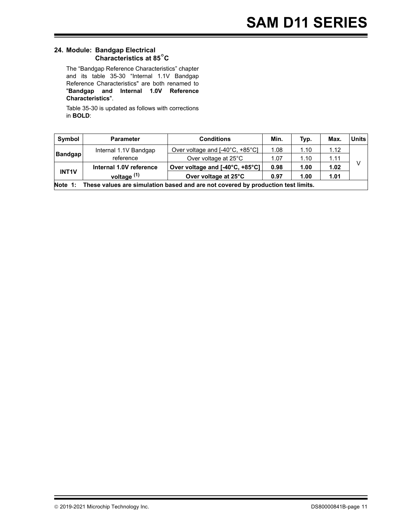#### <span id="page-13-0"></span>**24. Module: Bandgap Electrical Characteristics at 85**°**C**

The "Bandgap Reference Characteristics" chapter and its table 35-30 "Internal 1.1V Bandgap Reference Characteristics" are both renamed to "**Bandgap and Internal 1.0V Reference Characteristics**".

Table 35-30 is updated as follows with corrections in **BOLD**:

| Symbol         | <b>Parameter</b>                                                                         | <b>Conditions</b>               | Min. | Typ. | <b>Max</b> | <b>Units</b> |  |  |
|----------------|------------------------------------------------------------------------------------------|---------------------------------|------|------|------------|--------------|--|--|
|                | Internal 1.1V Bandgap                                                                    | Over voltage and [-40°C, +85°C] | 1.08 | 1.10 | 1.12       |              |  |  |
| <b>Bandgap</b> | reference                                                                                | Over voltage at 25°C            | 1.07 | 1.10 | 1.11       |              |  |  |
|                | Internal 1.0V reference                                                                  | Over voltage and [-40°C, +85°C] | 0.98 | 1.00 | 1.02       |              |  |  |
| <b>INT1V</b>   | voltage <sup>(1)</sup>                                                                   | Over voltage at 25°C            | 0.97 | 1.00 | 1.01       |              |  |  |
|                | Note 1: These values are simulation based and are not covered by production test limits. |                                 |      |      |            |              |  |  |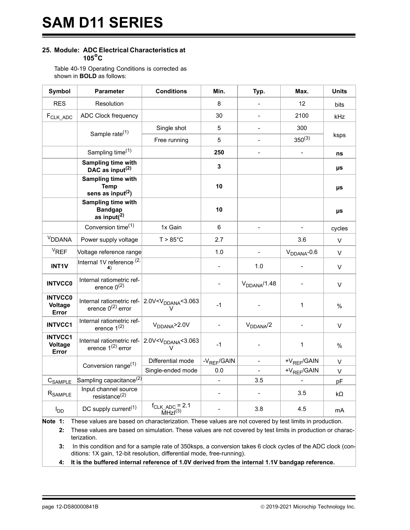#### <span id="page-14-0"></span>**25. Module: ADC Electrical Characteristics at 105°C**

Table 40-19 Operating Conditions is corrected as shown in **BOLD** as follows:

| Symbol                             | <b>Parameter</b>                                         | <b>Conditions</b>                                           | Min.                    | Typ.             | Max.             | <b>Units</b> |
|------------------------------------|----------------------------------------------------------|-------------------------------------------------------------|-------------------------|------------------|------------------|--------------|
| <b>RES</b>                         | Resolution                                               |                                                             | 8                       |                  | 12               | bits         |
| F <sub>CLK_ADC</sub>               | ADC Clock frequency                                      |                                                             | 30                      |                  | 2100             | kHz          |
|                                    | Sample rate <sup>(1)</sup>                               | Single shot                                                 | 5                       |                  | 300              |              |
|                                    |                                                          | Free running                                                | 5                       | $\blacksquare$   | $350^{(3)}$      | ksps         |
|                                    | Sampling time <sup>(1)</sup>                             |                                                             | 250                     |                  |                  | ns           |
|                                    | Sampling time with<br>DAC as input <sup>(2)</sup>        |                                                             | 3                       |                  |                  | μs           |
|                                    | Sampling time with<br><b>Temp</b><br>sens as input $(2)$ |                                                             | 10                      |                  |                  | μs           |
|                                    | Sampling time with<br><b>Bandgap</b><br>as input $(2)$   |                                                             | 10                      |                  |                  | μs           |
|                                    | Conversion time <sup>(1)</sup>                           | 1x Gain                                                     | 6                       |                  |                  | cycles       |
| <sup>V</sup> DDANA                 | Power supply voltage                                     | $T > 85^{\circ}$ C                                          | 2.7                     |                  | 3.6              | $\vee$       |
| $V_{REF}$                          | Voltage reference range                                  |                                                             | 1.0                     | $\blacksquare$   | $V_{DDANA}$ -0.6 | $\vee$       |
| <b>INT1V</b>                       | Internal 1V reference (2,<br>4)                          |                                                             |                         | 1.0              |                  | $\vee$       |
| <b>INTVCC0</b>                     | Internal ratiometric ref-<br>erence $0^{(2)}$            |                                                             |                         | $V_{DDANA}/1.48$ |                  | $\vee$       |
| <b>INTVCC0</b><br>Voltage<br>Error | Internal ratiometric ref-<br>erence $0^{(2)}$ error      | 2.0V <v<sub>DDANA&lt;3.063<br/><math>\vee</math></v<sub>    | $-1$                    |                  | 1                | $\%$         |
| <b>INTVCC1</b>                     | Internal ratiometric ref-<br>erence $1^{(2)}$            | $V_{DDANA}$ >2.0V                                           |                         | $V_{DDANA}/2$    |                  | $\vee$       |
| <b>INTVCC1</b><br>Voltage<br>Error | Internal ratiometric ref-<br>erence $1^{(2)}$ error      | 2.0V <v<sub>DDANA&lt;3.063</v<sub>                          | $-1$                    |                  | 1                | %            |
|                                    | Conversion range <sup>(1)</sup>                          | Differential mode                                           | -V <sub>REF</sub> /GAIN |                  | $+V_{REF}/GAIN$  | $\vee$       |
|                                    |                                                          | Single-ended mode                                           | 0.0                     |                  | $+V_{REF}/GAIN$  | $\vee$       |
| C <sub>SAMPLE</sub>                | Sampling capacitance <sup>(2)</sup>                      |                                                             |                         | 3.5              |                  | pF           |
| R <sub>SAMPLE</sub>                | Input channel source<br>resistance $^{(2)}$              |                                                             |                         |                  | 3.5              | kΩ           |
| $I_{DD}$                           | DC supply current <sup>(1)</sup>                         | $f_{CLK \_ ADC} = 2.1$<br>$\overline{M}$ HzI <sup>(3)</sup> |                         | 3.8              | 4.5              | mA           |

**Note 1:** These values are based on characterization. These values are not covered by test limits in production.

**2:** These values are based on simulation. These values are not covered by test limits in production or characterization.

**3:** In this condition and for a sample rate of 350ksps, a conversion takes 6 clock cycles of the ADC clock (conditions: 1X gain, 12-bit resolution, differential mode, free-running).

**4: It is the buffered internal reference of 1.0V derived from the internal 1.1V bandgap reference.**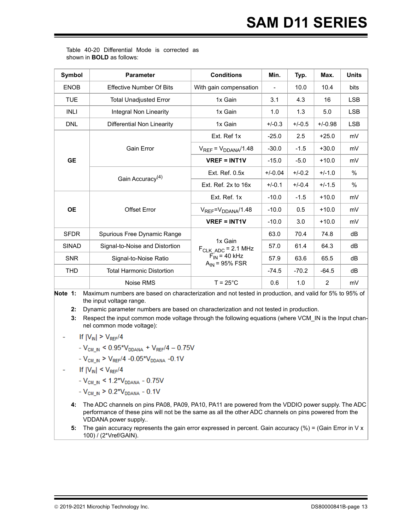Table 40-20 Differential Mode is corrected as shown in **BOLD** as follows:

| Symbol       | <b>Parameter</b>                 | <b>Conditions</b>                                  | Min.                     | Typ.     | Max.           | <b>Units</b>  |
|--------------|----------------------------------|----------------------------------------------------|--------------------------|----------|----------------|---------------|
| <b>ENOB</b>  | <b>Effective Number Of Bits</b>  | With gain compensation                             | $\overline{\phantom{0}}$ | 10.0     | 10.4           | bits          |
| <b>TUE</b>   | <b>Total Unadjusted Error</b>    | 1x Gain                                            | 3.1                      | 4.3      | 16             | <b>LSB</b>    |
| <b>INLI</b>  | Integral Non Linearity           | 1x Gain                                            | 1.0                      | 1.3      | 5.0            | <b>LSB</b>    |
| <b>DNL</b>   | Differential Non Linearity       | 1x Gain                                            | $+/-0.3$                 | $+/-0.5$ | $+/-0.98$      | <b>LSB</b>    |
|              |                                  | Ext. Ref 1x                                        | $-25.0$                  | 2.5      | $+25.0$        | mV            |
|              | <b>Gain Error</b>                | $V_{REF} = V_{DDANA}/1.48$                         | $-30.0$                  | $-1.5$   | $+30.0$        | mV            |
| <b>GE</b>    |                                  | $VREF = INT1V$                                     | $-15.0$                  | $-5.0$   | $+10.0$        | mV            |
|              | Gain Accuracy <sup>(4)</sup>     | Ext. Ref. 0.5x                                     | $+/-0.04$                | $+/-0.2$ | $+/-1.0$       | %             |
|              |                                  | Ext. Ref. 2x to 16x                                | $+/-0.1$                 | $+/-0.4$ | $+/-1.5$       | $\frac{0}{0}$ |
|              |                                  | Ext. Ref. 1x                                       | $-10.0$                  | $-1.5$   | $+10.0$        | mV            |
| <b>OE</b>    | <b>Offset Error</b>              | $V_{REF} = V_{DDANA}/1.48$                         | $-10.0$                  | 0.5      | $+10.0$        | mV            |
|              |                                  | $VREF = INT1V$                                     | $-10.0$                  | 3.0      | $+10.0$        | mV            |
| <b>SFDR</b>  | Spurious Free Dynamic Range      |                                                    | 63.0                     | 70.4     | 74.8           | dB            |
| <b>SINAD</b> | Signal-to-Noise and Distortion   | 1x Gain<br>$F_{CLK \, ADC} = 2.1 \, MHz$           | 57.0                     | 61.4     | 64.3           | dB            |
| <b>SNR</b>   | Signal-to-Noise Ratio            | $\overline{F}_{IN}$ = 40 kHz<br>$A_{IN}$ = 95% FSR | 57.9                     | 63.6     | 65.5           | dB            |
| <b>THD</b>   | <b>Total Harmonic Distortion</b> |                                                    | $-74.5$                  | $-70.2$  | $-64.5$        | dB            |
|              | Noise RMS                        | $T = 25^{\circ}$ C                                 | 0.6                      | 1.0      | $\overline{2}$ | mV            |

**Note 1:** Maximum numbers are based on characterization and not tested in production, and valid for 5% to 95% of the input voltage range.

**2:** Dynamic parameter numbers are based on characterization and not tested in production.

**3:** Respect the input common mode voltage through the following equations (where VCM\_IN is the Input channel common mode voltage):

If  $|V_{\text{IN}}| > V_{\text{REF}}/4$ 

- 
$$
V_{CM IN} < 0.95 \times V_{DDANA} + V_{REF}/4 - 0.75V
$$

- 
$$
V_{CM\_IN}
$$
 >  $V_{REF}/4$  -0.05<sup>\*</sup> $V_{DDANA}$  -0.1V

- If  $|V_{\text{IN}}| \leq V_{\text{REF}}/4$ 
	- $V_{CM\_IN}$  < 1.2\* $V_{DDANA}$  0.75V
	- $-V_{CM,N} > 0.2*V_{DDANA} 0.1V$
	- **4:** The ADC channels on pins PA08, PA09, PA10, PA11 are powered from the VDDIO power supply. The ADC performance of these pins will not be the same as all the other ADC channels on pins powered from the VDDANA power supply..
	- **5:** The gain accuracy represents the gain error expressed in percent. Gain accuracy (%) = (Gain Error in V x 100) / (2\*Vref/GAIN).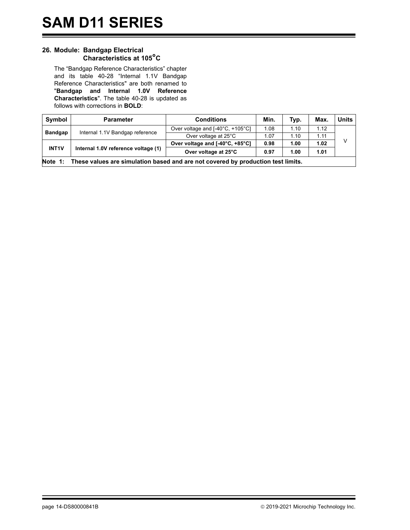#### <span id="page-16-0"></span>**26. Module: Bandgap Electrical Characteristics at 105°C**

The "Bandgap Reference Characteristics" chapter and its table 40-28 "Internal 1.1V Bandgap Reference Characteristics" are both renamed to "**Bandgap and Internal 1.0V Reference Characteristics**". The table 40-28 is updated as follows with corrections in **BOLD**:

| Symbol         | <b>Parameter</b>                                                                 | <b>Conditions</b>                | Min. | Typ. | Max  | <b>Units</b> |  |  |  |
|----------------|----------------------------------------------------------------------------------|----------------------------------|------|------|------|--------------|--|--|--|
|                |                                                                                  | Over voltage and [-40°C, +105°C] | 1.08 | 1.10 | 1.12 |              |  |  |  |
| <b>Bandgap</b> | Internal 1.1V Bandgap reference                                                  | Over voltage at 25°C             | 1.07 | 1.10 | 1.11 |              |  |  |  |
|                |                                                                                  | Over voltage and [-40°C, +85°C]  | 0.98 | 1.00 | 1.02 | V            |  |  |  |
| <b>INT1V</b>   | Internal 1.0V reference voltage (1)                                              | Over voltage at 25°C             | 0.97 | 1.00 | 1.01 |              |  |  |  |
| Note 1:        | These values are simulation based and are not covered by production test limits. |                                  |      |      |      |              |  |  |  |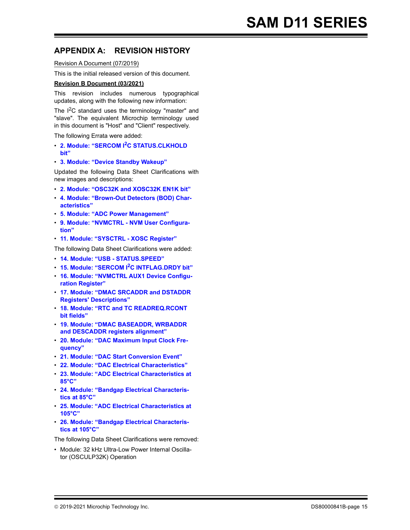### **APPENDIX A: REVISION HISTORY**

Revision A Document (07/2019)

This is the initial released version of this document.

#### **Revision B Document (03/2021)**

This revision includes numerous typographical updates, along with the following new information:

The  $I^2C$  standard uses the terminology "master" and "slave". The equivalent Microchip terminology used in this document is "Host" and "Client" respectively.

The following Errata were added:

- ï **[2. Module: "SERCOM I](#page-3-0)2C STATUS.CLKHOLD [bit"](#page-3-0)**
- ï **[3. Module: "Device Standby Wakeup"](#page-3-1)**

Updated the following Data Sheet Clarifications with new images and descriptions:

- ï **[2. Module: "OSC32K and XOSC32K EN1K bit"](#page-5-0)**
- **[4. Module: "Brown-Out Detectors \(BOD\) Char](#page-6-0)[acteristics"](#page-6-0)**
- ï **[5. Module: "ADC Power Management"](#page-7-0)**
- **[9. Module: "NVMCTRL NVM User Configura](#page-8-3)[tion"](#page-8-3)**
- ï **[11. Module: "SYSCTRL XOSC Register"](#page-8-4)**

The following Data Sheet Clarifications were added:

- ï **[14. Module: "USB STATUS.SPEED"](#page-8-0)**
- ï **[15. Module: "SERCOM I](#page-8-1)2C INTFLAG.DRDY bit"**
- **[16. Module: "NVMCTRL AUX1 Device Configu](#page-8-2)[ration Register"](#page-8-2)**
- ï **[17. Module: "DMAC SRCADDR and DSTADDR](#page-9-0)  [Registers' Descriptions"](#page-9-0)**
- ï **[18. Module: "RTC and TC READREQ.RCONT](#page-9-1)  [bit fields"](#page-9-1)**
- ï **[19. Module: "DMAC BASEADDR, WRBADDR](#page-10-1)  [and DESCADDR registers alignment"](#page-10-1)**
- **[20. Module: "DAC Maximum Input Clock Fre](#page-10-2)[quency"](#page-10-2)**
- ï **[21. Module: "DAC Start Conversion Event"](#page-10-3)**
- ï **[22. Module: "DAC Electrical Characteristics"](#page-10-0)**
- ï **[23. Module: "ADC Electrical Characteristics at](#page-11-0)  [85°C"](#page-11-0)**
- **[24. Module: "Bandgap Electrical Characteris](#page-13-0)[tics at 85°C"](#page-13-0)**
- ï **[25. Module: "ADC Electrical Characteristics at](#page-14-0)  [105°C"](#page-14-0)**
- **[26. Module: "Bandgap Electrical Characteris](#page-16-0)[tics at 105°C"](#page-16-0)**

The following Data Sheet Clarifications were removed:

• Module: 32 kHz Ultra-Low Power Internal Oscillator (OSCULP32K) Operation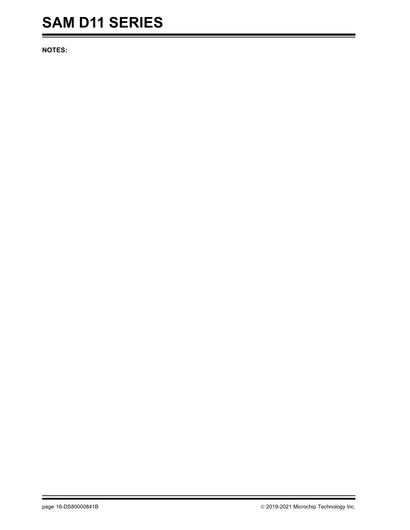## **SAM D11 SERIES**

**NOTES:**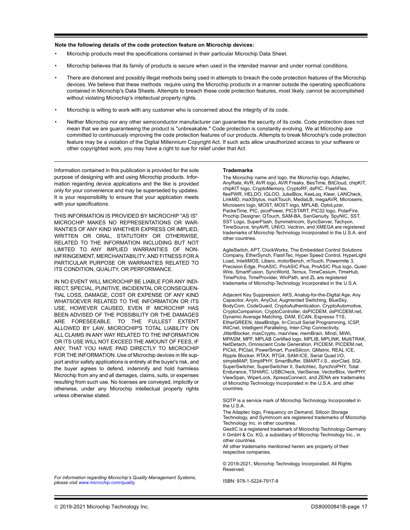#### **Note the following details of the code protection feature on Microchip devices:**

- Microchip products meet the specifications contained in their particular Microchip Data Sheet.
- Microchip believes that its family of products is secure when used in the intended manner and under normal conditions.
- There are dishonest and possibly illegal methods being used in attempts to breach the code protection features of the Microchip devices. We believe that these methods require using the Microchip products in a manner outside the operating specifications contained in Microchip's Data Sheets. Attempts to breach these code protection features, most likely, cannot be accomplished without violating Microchip's intellectual property rights.
- Microchip is willing to work with any customer who is concerned about the integrity of its code.
- Neither Microchip nor any other semiconductor manufacturer can guarantee the security of its code. Code protection does not mean that we are guaranteeing the product is "unbreakable." Code protection is constantly evolving. We at Microchip are committed to continuously improving the code protection features of our products. Attempts to break Microchip's code protection feature may be a violation of the Digital Millennium Copyright Act. If such acts allow unauthorized access to your software or other copyrighted work, you may have a right to sue for relief under that Act.

Information contained in this publication is provided for the sole purpose of designing with and using Microchip products. Information regarding device applications and the like is provided only for your convenience and may be superseded by updates. It is your responsibility to ensure that your application meets with your specifications.

THIS INFORMATION IS PROVIDED BY MICROCHIP "AS IS". MICROCHIP MAKES NO REPRESENTATIONS OR WAR-RANTIES OF ANY KIND WHETHER EXPRESS OR IMPLIED, WRITTEN OR ORAL, STATUTORY OR OTHERWISE, RELATED TO THE INFORMATION INCLUDING BUT NOT LIMITED TO ANY IMPLIED WARRANTIES OF NON-INFRINGEMENT, MERCHANTABILITY, AND FITNESS FOR A PARTICULAR PURPOSE OR WARRANTIES RELATED TO ITS CONDITION, QUALITY, OR PERFORMANCE.

IN NO EVENT WILL MICROCHIP BE LIABLE FOR ANY INDI-RECT, SPECIAL, PUNITIVE, INCIDENTAL OR CONSEQUEN-TIAL LOSS, DAMAGE, COST OR EXPENSE OF ANY KIND WHATSOEVER RELATED TO THE INFORMATION OR ITS USE, HOWEVER CAUSED, EVEN IF MICROCHIP HAS BEEN ADVISED OF THE POSSIBILITY OR THE DAMAGES ARE FORESEEABLE. TO THE FULLEST EXTENT ALLOWED BY LAW, MICROCHIP'S TOTAL LIABILITY ON ALL CLAIMS IN ANY WAY RELATED TO THE INFORMATION OR ITS USE WILL NOT EXCEED THE AMOUNT OF FEES, IF ANY, THAT YOU HAVE PAID DIRECTLY TO MICROCHIP FOR THE INFORMATION. Use of Microchip devices in life support and/or safety applications is entirely at the buyer's risk, and the buyer agrees to defend, indemnify and hold harmless Microchip from any and all damages, claims, suits, or expenses resulting from such use. No licenses are conveyed, implicitly or otherwise, under any Microchip intellectual property rights unless otherwise stated.

#### **Trademarks**

The Microchip name and logo, the Microchip logo, Adaptec, AnyRate, AVR, AVR logo, AVR Freaks, BesTime, BitCloud, chipKIT, chipKIT logo, CryptoMemory, CryptoRF, dsPIC, FlashFlex, flexPWR, HELDO, IGLOO, JukeBlox, KeeLoq, Kleer, LANCheck, LinkMD, maXStylus, maXTouch, MediaLB, megaAVR, Microsemi, Microsemi logo, MOST, MOST logo, MPLAB, OptoLyzer, PackeTime, PIC, picoPower, PICSTART, PIC32 logo, PolarFire, Prochip Designer, QTouch, SAM-BA, SenGenuity, SpyNIC, SST, SST Logo, SuperFlash, Symmetricom, SyncServer, Tachyon, TimeSource, tinyAVR, UNI/O, Vectron, and XMEGA are registered trademarks of Microchip Technology Incorporated in the U.S.A. and other countries.

AgileSwitch, APT, ClockWorks, The Embedded Control Solutions Company, EtherSynch, FlashTec, Hyper Speed Control, HyperLight Load, IntelliMOS, Libero, motorBench, mTouch, Powermite 3, Precision Edge, ProASIC, ProASIC Plus, ProASIC Plus logo, Quiet-Wire, SmartFusion, SyncWorld, Temux, TimeCesium, TimeHub, TimePictra, TimeProvider, WinPath, and ZL are registered trademarks of Microchip Technology Incorporated in the U.S.A.

Adjacent Key Suppression, AKS, Analog-for-the-Digital Age, Any Capacitor, AnyIn, AnyOut, Augmented Switching, BlueSky, BodyCom, CodeGuard, CryptoAuthentication, CryptoAutomotive, CryptoCompanion, CryptoController, dsPICDEM, dsPICDEM.net, Dynamic Average Matching, DAM, ECAN, Espresso T1S, EtherGREEN, IdealBridge, In-Circuit Serial Programming, ICSP, INICnet, Intelligent Paralleling, Inter-Chip Connectivity, JitterBlocker, maxCrypto, maxView, memBrain, Mindi, MiWi, MPASM, MPF, MPLAB Certified logo, MPLIB, MPLINK, MultiTRAK, NetDetach, Omniscient Code Generation, PICDEM, PICDEM.net, PICkit, PICtail, PowerSmart, PureSilicon, QMatrix, REAL ICE, Ripple Blocker, RTAX, RTG4, SAM-ICE, Serial Quad I/O, simpleMAP, SimpliPHY, SmartBuffer, SMART-I.S., storClad, SQI, SuperSwitcher, SuperSwitcher II, Switchtec, SynchroPHY, Total Endurance, TSHARC, USBCheck, VariSense, VectorBlox, VeriPHY, ViewSpan, WiperLock, XpressConnect, and ZENA are trademarks of Microchip Technology Incorporated in the U.S.A. and other countries.

SQTP is a service mark of Microchip Technology Incorporated in the U.S.A.

The Adaptec logo, Frequency on Demand, Silicon Storage Technology, and Symmcom are registered trademarks of Microchip Technology Inc. in other countries.

GestIC is a registered trademark of Microchip Technology Germany II GmbH & Co. KG, a subsidiary of Microchip Technology Inc., in other countries.

All other trademarks mentioned herein are property of their respective companies.

© 2019-2021, Microchip Technology Incorporated, All Rights Reserved.

ISBN: 978-1-5224-7917-8

*For information regarding Microchip's Quality Management Systems, please visit www.microchip.com/quality.*